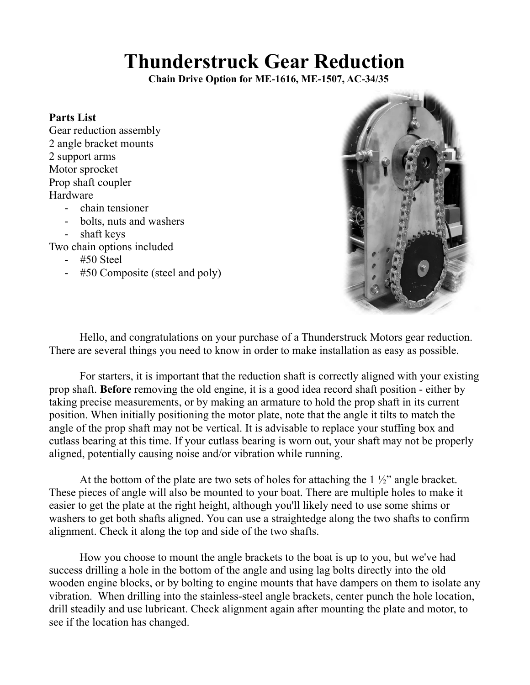## **Thunderstruck Gear Reduction**

 **Chain Drive Option for ME-1616, ME-1507, AC-34/35**

## **Parts List**

- Gear reduction assembly 2 angle bracket mounts 2 support arms Motor sprocket Prop shaft coupler Hardware
	- chain tensioner
	- bolts, nuts and washers
	- shaft keys

Two chain options included

- #50 Steel
- #50 Composite (steel and poly)



Hello, and congratulations on your purchase of a Thunderstruck Motors gear reduction. There are several things you need to know in order to make installation as easy as possible.

For starters, it is important that the reduction shaft is correctly aligned with your existing prop shaft. **Before** removing the old engine, it is a good idea record shaft position - either by taking precise measurements, or by making an armature to hold the prop shaft in its current position. When initially positioning the motor plate, note that the angle it tilts to match the angle of the prop shaft may not be vertical. It is advisable to replace your stuffing box and cutlass bearing at this time. If your cutlass bearing is worn out, your shaft may not be properly aligned, potentially causing noise and/or vibration while running.

At the bottom of the plate are two sets of holes for attaching the  $1\frac{1}{2}$  angle bracket. These pieces of angle will also be mounted to your boat. There are multiple holes to make it easier to get the plate at the right height, although you'll likely need to use some shims or washers to get both shafts aligned. You can use a straightedge along the two shafts to confirm alignment. Check it along the top and side of the two shafts.

How you choose to mount the angle brackets to the boat is up to you, but we've had success drilling a hole in the bottom of the angle and using lag bolts directly into the old wooden engine blocks, or by bolting to engine mounts that have dampers on them to isolate any vibration. When drilling into the stainless-steel angle brackets, center punch the hole location, drill steadily and use lubricant. Check alignment again after mounting the plate and motor, to see if the location has changed.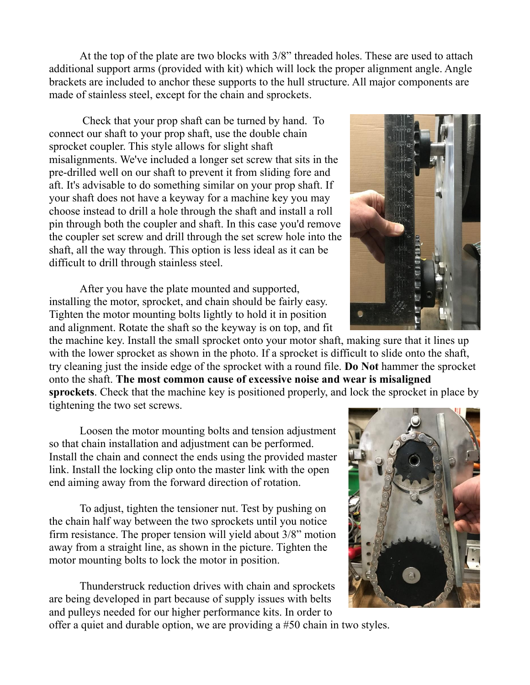At the top of the plate are two blocks with 3/8" threaded holes. These are used to attach additional support arms (provided with kit) which will lock the proper alignment angle. Angle brackets are included to anchor these supports to the hull structure. All major components are made of stainless steel, except for the chain and sprockets.

Check that your prop shaft can be turned by hand. To connect our shaft to your prop shaft, use the double chain sprocket coupler. This style allows for slight shaft misalignments. We've included a longer set screw that sits in the pre-drilled well on our shaft to prevent it from sliding fore and aft. It's advisable to do something similar on your prop shaft. If your shaft does not have a keyway for a machine key you may choose instead to drill a hole through the shaft and install a roll pin through both the coupler and shaft. In this case you'd remove the coupler set screw and drill through the set screw hole into the shaft, all the way through. This option is less ideal as it can be difficult to drill through stainless steel.

After you have the plate mounted and supported, installing the motor, sprocket, and chain should be fairly easy. Tighten the motor mounting bolts lightly to hold it in position and alignment. Rotate the shaft so the keyway is on top, and fit

the machine key. Install the small sprocket onto your motor shaft, making sure that it lines up with the lower sprocket as shown in the photo. If a sprocket is difficult to slide onto the shaft, try cleaning just the inside edge of the sprocket with a round file. **Do Not** hammer the sprocket onto the shaft. **The most common cause of excessive noise and wear is misaligned sprockets**. Check that the machine key is positioned properly, and lock the sprocket in place by tightening the two set screws.

Loosen the motor mounting bolts and tension adjustment so that chain installation and adjustment can be performed. Install the chain and connect the ends using the provided master link. Install the locking clip onto the master link with the open end aiming away from the forward direction of rotation.

To adjust, tighten the tensioner nut. Test by pushing on the chain half way between the two sprockets until you notice firm resistance. The proper tension will yield about 3/8" motion away from a straight line, as shown in the picture. Tighten the motor mounting bolts to lock the motor in position.

Thunderstruck reduction drives with chain and sprockets are being developed in part because of supply issues with belts and pulleys needed for our higher performance kits. In order to offer a quiet and durable option, we are providing a #50 chain in two styles.